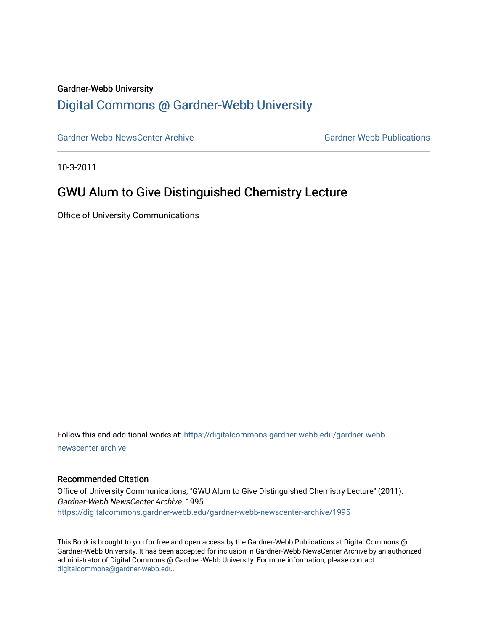### Gardner-Webb University

### [Digital Commons @ Gardner-Webb University](https://digitalcommons.gardner-webb.edu/)

[Gardner-Webb NewsCenter Archive](https://digitalcommons.gardner-webb.edu/gardner-webb-newscenter-archive) Gardner-Webb Publications

10-3-2011

## GWU Alum to Give Distinguished Chemistry Lecture

Office of University Communications

Follow this and additional works at: [https://digitalcommons.gardner-webb.edu/gardner-webb](https://digitalcommons.gardner-webb.edu/gardner-webb-newscenter-archive?utm_source=digitalcommons.gardner-webb.edu%2Fgardner-webb-newscenter-archive%2F1995&utm_medium=PDF&utm_campaign=PDFCoverPages)[newscenter-archive](https://digitalcommons.gardner-webb.edu/gardner-webb-newscenter-archive?utm_source=digitalcommons.gardner-webb.edu%2Fgardner-webb-newscenter-archive%2F1995&utm_medium=PDF&utm_campaign=PDFCoverPages)

#### Recommended Citation

Office of University Communications, "GWU Alum to Give Distinguished Chemistry Lecture" (2011). Gardner-Webb NewsCenter Archive. 1995. [https://digitalcommons.gardner-webb.edu/gardner-webb-newscenter-archive/1995](https://digitalcommons.gardner-webb.edu/gardner-webb-newscenter-archive/1995?utm_source=digitalcommons.gardner-webb.edu%2Fgardner-webb-newscenter-archive%2F1995&utm_medium=PDF&utm_campaign=PDFCoverPages) 

This Book is brought to you for free and open access by the Gardner-Webb Publications at Digital Commons @ Gardner-Webb University. It has been accepted for inclusion in Gardner-Webb NewsCenter Archive by an authorized administrator of Digital Commons @ Gardner-Webb University. For more information, please contact [digitalcommons@gardner-webb.edu](mailto:digitalcommons@gardner-webb.edu).